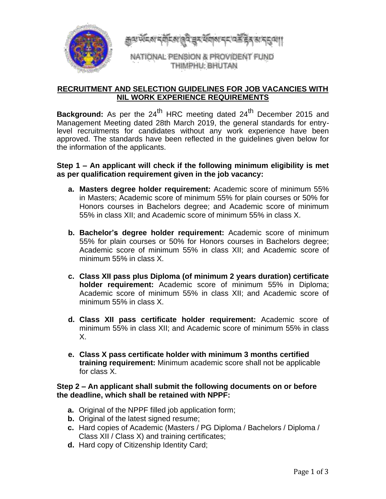

<u>#कल्ला स्वादश खुदु चेर लूचारा स्टाउक्ट इथ अस्त कां।</u>

NATIONAL PENSION & PROVIDENT FUND THIMPHU: BHUTAN

# **RECRUITMENT AND SELECTION GUIDELINES FOR JOB VACANCIES WITH NIL WORK EXPERIENCE REQUIREMENTS**

**Background:** As per the 24<sup>th</sup> HRC meeting dated 24<sup>th</sup> December 2015 and Management Meeting dated 28th March 2019, the general standards for entrylevel recruitments for candidates without any work experience have been approved. The standards have been reflected in the guidelines given below for the information of the applicants.

## **Step 1 – An applicant will check if the following minimum eligibility is met as per qualification requirement given in the job vacancy:**

- **a. Masters degree holder requirement:** Academic score of minimum 55% in Masters; Academic score of minimum 55% for plain courses or 50% for Honors courses in Bachelors degree; and Academic score of minimum 55% in class XII; and Academic score of minimum 55% in class X.
- **b. Bachelor's degree holder requirement:** Academic score of minimum 55% for plain courses or 50% for Honors courses in Bachelors degree; Academic score of minimum 55% in class XII; and Academic score of minimum 55% in class X.
- **c. Class XII pass plus Diploma (of minimum 2 years duration) certificate holder requirement:** Academic score of minimum 55% in Diploma; Academic score of minimum 55% in class XII; and Academic score of minimum 55% in class X.
- **d. Class XII pass certificate holder requirement:** Academic score of minimum 55% in class XII; and Academic score of minimum 55% in class X.
- **e. Class X pass certificate holder with minimum 3 months certified training requirement:** Minimum academic score shall not be applicable for class X.

### **Step 2 – An applicant shall submit the following documents on or before the deadline, which shall be retained with NPPF:**

- **a.** Original of the NPPF filled job application form;
- **b.** Original of the latest signed resume;
- **c.** Hard copies of Academic (Masters / PG Diploma / Bachelors / Diploma / Class XII / Class X) and training certificates;
- **d.** Hard copy of Citizenship Identity Card;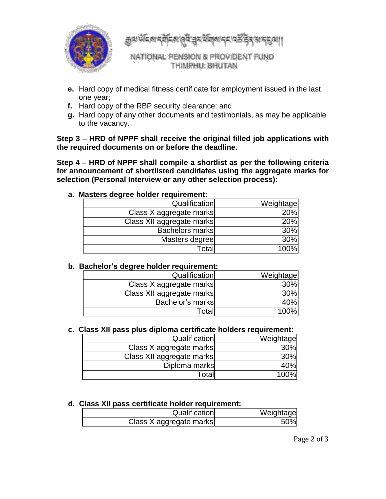

क्कुल संदर्भ दर्शदश्रु है चुर संग्रह्म दद उन्हें हैंद स दुद्धा।

NATIONAL PENSION & PROVIDENT FUND THIMPHU: BHUTAN

- **e.** Hard copy of medical fitness certificate for employment issued in the last one year;
- **f.** Hard copy of the RBP security clearance: and
- **g.** Hard copy of any other documents and testimonials, as may be applicable to the vacancy.

**Step 3 – HRD of NPPF shall receive the original filled job applications with the required documents on or before the deadline.**

**Step 4 – HRD of NPPF shall compile a shortlist as per the following criteria for announcement of shortlisted candidates using the aggregate marks for selection (Personal Interview or any other selection process):**

| Qualification             | Weightage |
|---------------------------|-----------|
| Class X aggregate marks   | 20%       |
| Class XII aggregate marks | 20%       |
| <b>Bachelors marks</b>    | 30%       |
| Masters degree            | 30%       |
| Total                     | 100%      |

**a. Masters degree holder requirement:**

#### **b. Bachelor's degree holder requirement:**

| Qualification             | Weightage |
|---------------------------|-----------|
| Class X aggregate marks   | 30%       |
| Class XII aggregate marks | 30%       |
| Bachelor's marks          | 40%       |
| Totall                    | 100%      |

# **c. Class XII pass plus diploma certificate holders requirement:**

| Qualification             | Weightage |
|---------------------------|-----------|
| Class X aggregate marks   | 30%       |
| Class XII aggregate marks | 30%       |
| Diploma marks             | 40%       |
| Total                     | 100%l     |

## **d. Class XII pass certificate holder requirement:**

| Qualification           | Weightage |
|-------------------------|-----------|
| Class X aggregate marks | 50%       |